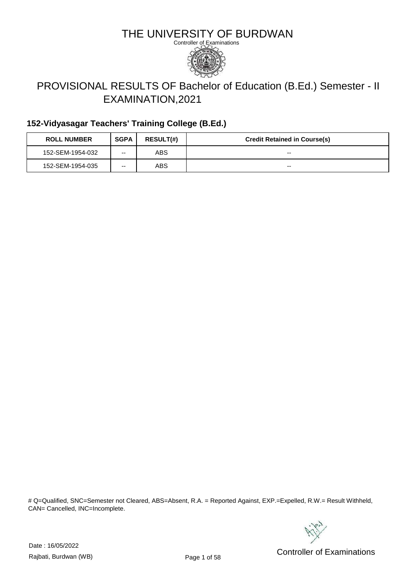

# PROVISIONAL RESULTS OF Bachelor of Education (B.Ed.) Semester - II EXAMINATION,2021

### **152-Vidyasagar Teachers' Training College (B.Ed.)**

| <b>ROLL NUMBER</b> | <b>SGPA</b> | <b>RESULT(#)</b> | <b>Credit Retained in Course(s)</b> |
|--------------------|-------------|------------------|-------------------------------------|
| 152-SEM-1954-032   | --          | ABS              | $- -$                               |
| 152-SEM-1954-035   | --          | ABS              | $- -$                               |

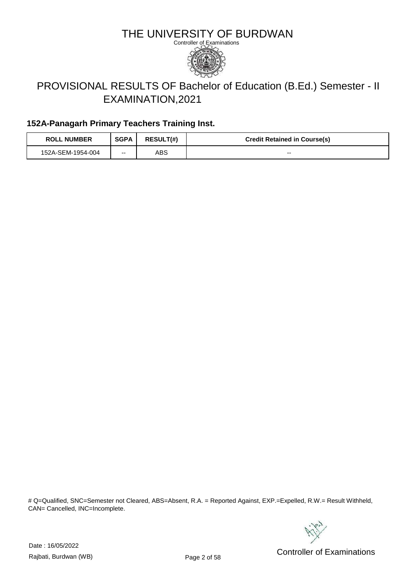

# PROVISIONAL RESULTS OF Bachelor of Education (B.Ed.) Semester - II EXAMINATION,2021

### **152A-Panagarh Primary Teachers Training Inst.**

| <b>ROLL NUMBER</b> | <b>SGPA</b> | <b>RESULT(#)</b> | <b>Credit Retained in Course(s)</b> |
|--------------------|-------------|------------------|-------------------------------------|
| 152A-SEM-1954-004  | $- -$       | ABS              | $- -$                               |

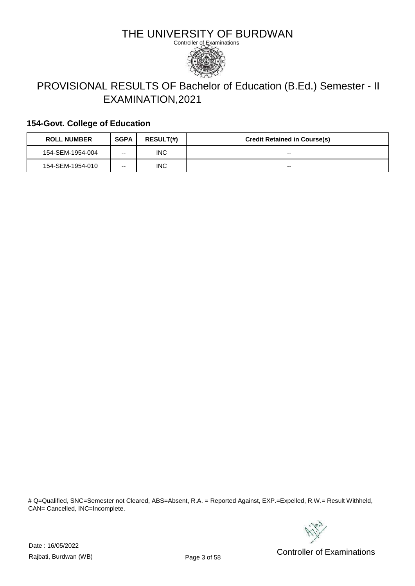

# PROVISIONAL RESULTS OF Bachelor of Education (B.Ed.) Semester - II EXAMINATION,2021

#### **154-Govt. College of Education**

| <b>ROLL NUMBER</b> | <b>SGPA</b> | <b>RESULT(#)</b> | <b>Credit Retained in Course(s)</b> |
|--------------------|-------------|------------------|-------------------------------------|
| 154-SEM-1954-004   | --          | <b>INC</b>       | $- -$                               |
| 154-SEM-1954-010   | --          | <b>INC</b>       | $- -$                               |

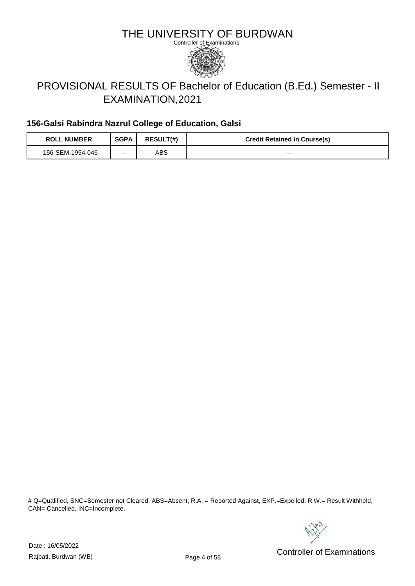

# PROVISIONAL RESULTS OF Bachelor of Education (B.Ed.) Semester - II EXAMINATION,2021

### **156-Galsi Rabindra Nazrul College of Education, Galsi**

| <b>ROLL NUMBER</b> | <b>SGPA</b> | <b>RESULT(#)</b> | <b>Credit Retained in Course(s)</b> |
|--------------------|-------------|------------------|-------------------------------------|
| 156-SEM-1954-046   | $- -$       | ABS              | $- -$                               |

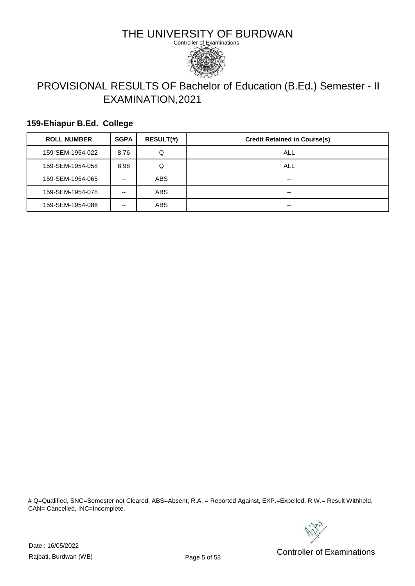

# PROVISIONAL RESULTS OF Bachelor of Education (B.Ed.) Semester - II EXAMINATION,2021

#### **159-Ehiapur B.Ed. College**

| <b>ROLL NUMBER</b> | <b>SGPA</b> | <b>RESULT(#)</b> | <b>Credit Retained in Course(s)</b> |
|--------------------|-------------|------------------|-------------------------------------|
| 159-SEM-1954-022   | 8.76        | Q                | ALL                                 |
| 159-SEM-1954-058   | 8.98        | Q                | ALL                                 |
| 159-SEM-1954-065   | --          | <b>ABS</b>       | --                                  |
| 159-SEM-1954-078   | --          | <b>ABS</b>       | --                                  |
| 159-SEM-1954-086   | --          | <b>ABS</b>       | --                                  |

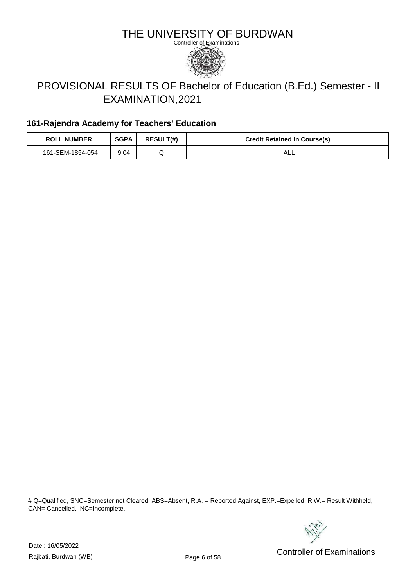

# PROVISIONAL RESULTS OF Bachelor of Education (B.Ed.) Semester - II EXAMINATION,2021

### **161-Rajendra Academy for Teachers' Education**

| <b>ROLL NUMBER</b> | <b>SGPA</b> | <b>RESULT(#)</b> | <b>Credit Retained in Course(s)</b> |
|--------------------|-------------|------------------|-------------------------------------|
| 161-SEM-1854-054   | 9.04        |                  | ALL                                 |

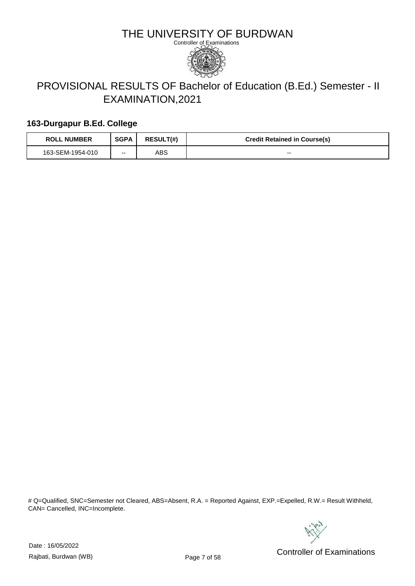

# PROVISIONAL RESULTS OF Bachelor of Education (B.Ed.) Semester - II EXAMINATION,2021

#### **163-Durgapur B.Ed. College**

| <b>ROLL NUMBER</b> | <b>SGPA</b> | <b>RESULT(#)</b> | <b>Credit Retained in Course(s)</b> |
|--------------------|-------------|------------------|-------------------------------------|
| 163-SEM-1954-010   | --          | ABS              | $- -$                               |

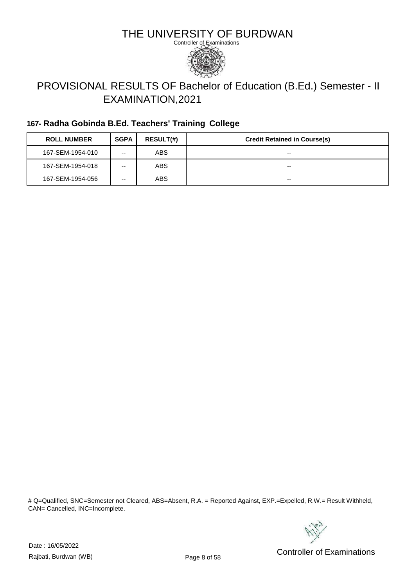

# PROVISIONAL RESULTS OF Bachelor of Education (B.Ed.) Semester - II EXAMINATION,2021

### **167- Radha Gobinda B.Ed. Teachers' Training College**

| <b>ROLL NUMBER</b> | <b>SGPA</b> | <b>RESULT(#)</b> | <b>Credit Retained in Course(s)</b> |
|--------------------|-------------|------------------|-------------------------------------|
| 167-SEM-1954-010   | --          | ABS              | $- -$                               |
| 167-SEM-1954-018   | --          | ABS              | $- -$                               |
| 167-SEM-1954-056   | --          | ABS              | $- -$                               |

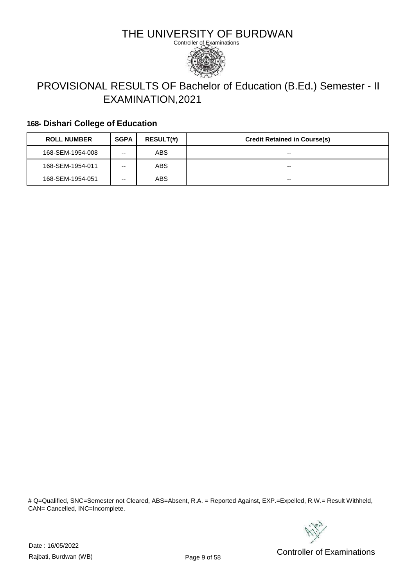

# PROVISIONAL RESULTS OF Bachelor of Education (B.Ed.) Semester - II EXAMINATION,2021

### **168- Dishari College of Education**

| <b>ROLL NUMBER</b> | <b>SGPA</b> | <b>RESULT(#)</b> | <b>Credit Retained in Course(s)</b> |
|--------------------|-------------|------------------|-------------------------------------|
| 168-SEM-1954-008   | --          | ABS              | $- -$                               |
| 168-SEM-1954-011   | --          | ABS              | $- -$                               |
| 168-SEM-1954-051   | --          | ABS              | $- -$                               |

# Q=Qualified, SNC=Semester not Cleared, ABS=Absent, R.A. = Reported Against, EXP.=Expelled, R.W.= Result Withheld, CAN= Cancelled, INC=Incomplete.



Date : 16/05/2022

Pate: Networking the Controller of Examinations<br>Rajbati, Burdwan (WB) Controller of Examinations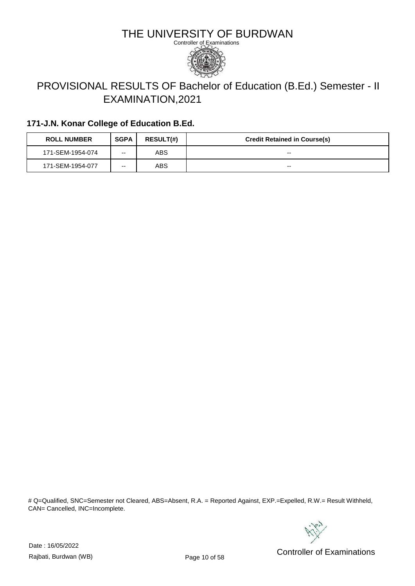

# PROVISIONAL RESULTS OF Bachelor of Education (B.Ed.) Semester - II EXAMINATION,2021

### **171-J.N. Konar College of Education B.Ed.**

| <b>ROLL NUMBER</b> | <b>SGPA</b> | <b>RESULT(#)</b> | <b>Credit Retained in Course(s)</b> |
|--------------------|-------------|------------------|-------------------------------------|
| 171-SEM-1954-074   | --          | ABS              | $- -$                               |
| 171-SEM-1954-077   | --          | ABS              | --                                  |

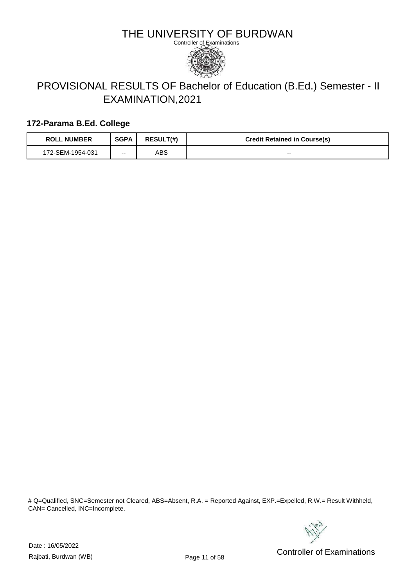

# PROVISIONAL RESULTS OF Bachelor of Education (B.Ed.) Semester - II EXAMINATION,2021

#### **172-Parama B.Ed. College**

| <b>ROLL NUMBER</b> | <b>SGPA</b> | <b>RESULT(#)</b> | <b>Credit Retained in Course(s)</b> |
|--------------------|-------------|------------------|-------------------------------------|
| 172-SEM-1954-031   | --          | ABS              | $- -$                               |

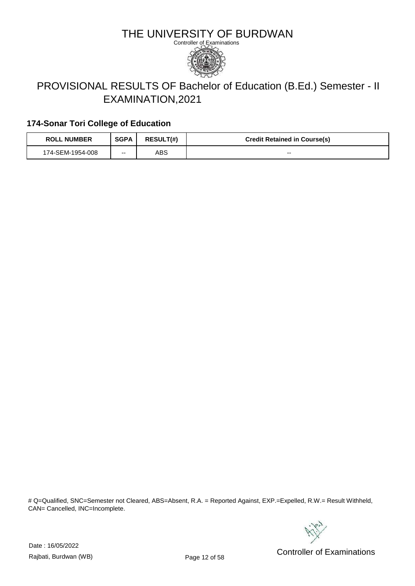

# PROVISIONAL RESULTS OF Bachelor of Education (B.Ed.) Semester - II EXAMINATION,2021

### **174-Sonar Tori College of Education**

| <b>ROLL NUMBER</b> | <b>SGPA</b> | <b>RESULT(#)</b> | <b>Credit Retained in Course(s)</b> |
|--------------------|-------------|------------------|-------------------------------------|
| 174-SEM-1954-008   | $- -$       | ABS              | $- -$                               |

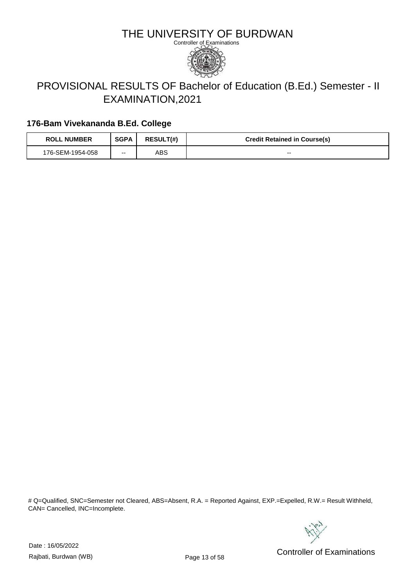

# PROVISIONAL RESULTS OF Bachelor of Education (B.Ed.) Semester - II EXAMINATION,2021

### **176-Bam Vivekananda B.Ed. College**

| <b>ROLL NUMBER</b> | <b>SGPA</b> | <b>RESULT(#)</b> | <b>Credit Retained in Course(s)</b> |
|--------------------|-------------|------------------|-------------------------------------|
| 176-SEM-1954-058   | $- -$       | ABS              | $- -$                               |

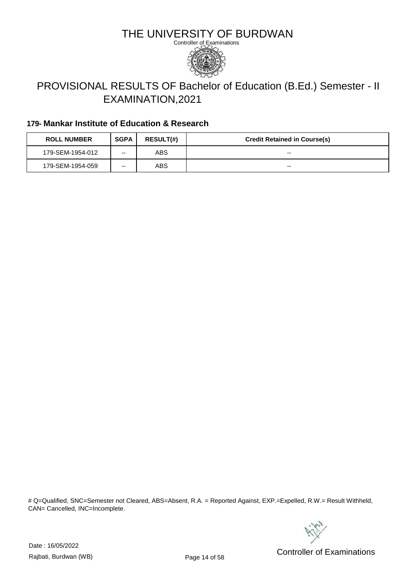

# PROVISIONAL RESULTS OF Bachelor of Education (B.Ed.) Semester - II EXAMINATION,2021

### **179- Mankar Institute of Education & Research**

| <b>ROLL NUMBER</b> | <b>SGPA</b> | <b>RESULT(#)</b> | <b>Credit Retained in Course(s)</b> |
|--------------------|-------------|------------------|-------------------------------------|
| 179-SEM-1954-012   | --          | ABS              | $- -$                               |
| 179-SEM-1954-059   | --          | ABS              | $- -$                               |

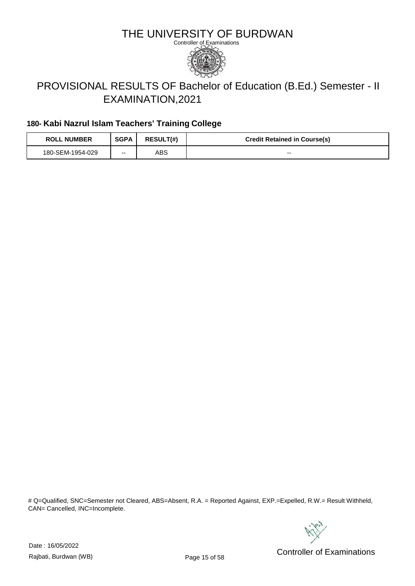

# PROVISIONAL RESULTS OF Bachelor of Education (B.Ed.) Semester - II EXAMINATION,2021

### **180- Kabi Nazrul Islam Teachers' Training College**

| <b>ROLL NUMBER</b> | <b>SGPA</b> | <b>RESULT(#)</b> | <b>Credit Retained in Course(s)</b> |
|--------------------|-------------|------------------|-------------------------------------|
| 180-SEM-1954-029   | $- -$       | ABS              | $- -$                               |

# Q=Qualified, SNC=Semester not Cleared, ABS=Absent, R.A. = Reported Against, EXP.=Expelled, R.W.= Result Withheld, CAN= Cancelled, INC=Incomplete.



Date : 16/05/2022

Pate: Networking the United States of Examinations<br>Rajbati, Burdwan (WB) Controller of Examinations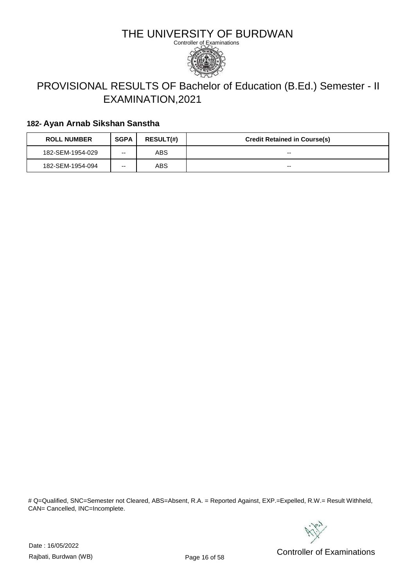

# PROVISIONAL RESULTS OF Bachelor of Education (B.Ed.) Semester - II EXAMINATION,2021

#### **182- Ayan Arnab Sikshan Sanstha**

| <b>ROLL NUMBER</b> | <b>SGPA</b> | <b>RESULT(#)</b> | <b>Credit Retained in Course(s)</b> |
|--------------------|-------------|------------------|-------------------------------------|
| 182-SEM-1954-029   | --          | ABS              | --                                  |
| 182-SEM-1954-094   | --          | ABS              | --                                  |

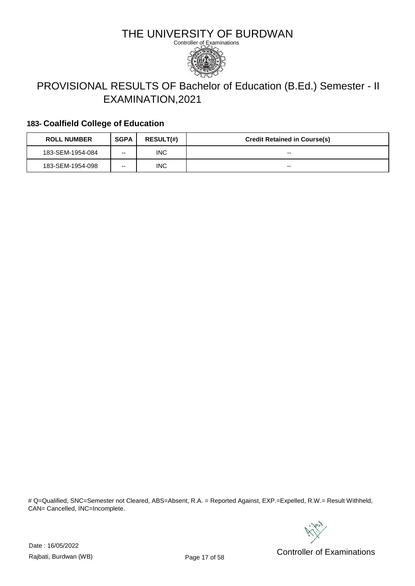

# PROVISIONAL RESULTS OF Bachelor of Education (B.Ed.) Semester - II EXAMINATION,2021

### **183- Coalfield College of Education**

| <b>ROLL NUMBER</b> | <b>SGPA</b> | <b>RESULT(#)</b> | <b>Credit Retained in Course(s)</b> |
|--------------------|-------------|------------------|-------------------------------------|
| 183-SEM-1954-084   | --          | <b>INC</b>       | $- -$                               |
| 183-SEM-1954-098   | --          | INC.             | $- -$                               |

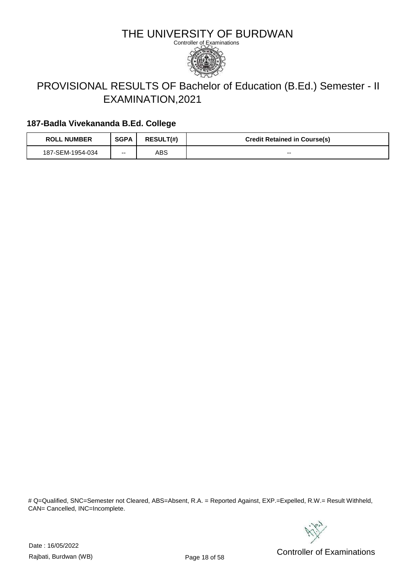

# PROVISIONAL RESULTS OF Bachelor of Education (B.Ed.) Semester - II EXAMINATION,2021

### **187-Badla Vivekananda B.Ed. College**

| <b>ROLL NUMBER</b> | <b>SGPA</b> | <b>RESULT(#)</b> | <b>Credit Retained in Course(s)</b> |
|--------------------|-------------|------------------|-------------------------------------|
| 187-SEM-1954-034   | --          | ABS              | $- -$                               |

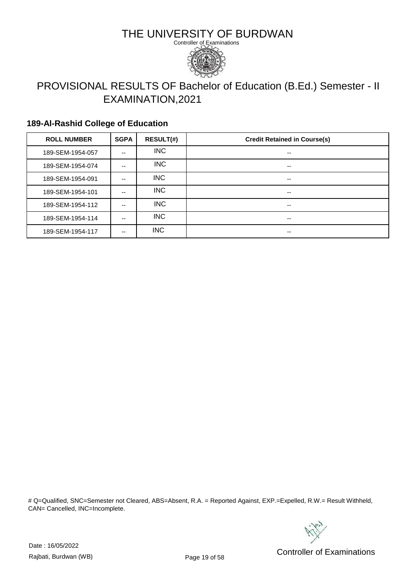

# PROVISIONAL RESULTS OF Bachelor of Education (B.Ed.) Semester - II EXAMINATION,2021

#### **189-Al-Rashid College of Education**

| <b>ROLL NUMBER</b> | <b>SGPA</b> | <b>RESULT(#)</b> | <b>Credit Retained in Course(s)</b> |
|--------------------|-------------|------------------|-------------------------------------|
| 189-SEM-1954-057   | --          | INC.             | --                                  |
| 189-SEM-1954-074   | --          | <b>INC</b>       | $- -$                               |
| 189-SEM-1954-091   | --          | <b>INC</b>       | --                                  |
| 189-SEM-1954-101   | --          | <b>INC</b>       | $- -$                               |
| 189-SEM-1954-112   | --          | <b>INC</b>       | $- -$                               |
| 189-SEM-1954-114   | --          | <b>INC</b>       | --                                  |
| 189-SEM-1954-117   | --          | <b>INC</b>       | --                                  |

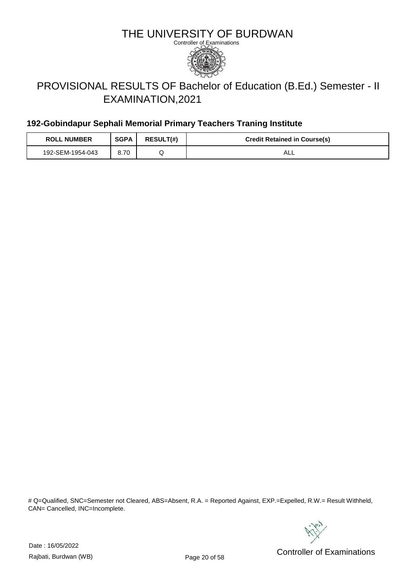

# PROVISIONAL RESULTS OF Bachelor of Education (B.Ed.) Semester - II EXAMINATION,2021

### **192-Gobindapur Sephali Memorial Primary Teachers Traning Institute**

| <b>ROLL NUMBER</b> | <b>SGPA</b> | <b>RESULT(#)</b> | <b>Credit Retained in Course(s)</b> |
|--------------------|-------------|------------------|-------------------------------------|
| 192-SEM-1954-043   | 8.70        |                  | ALL                                 |

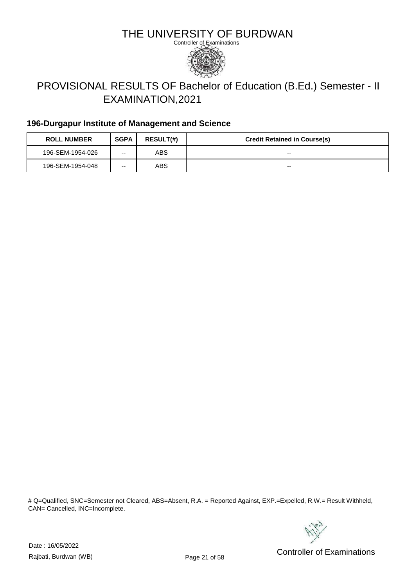

# PROVISIONAL RESULTS OF Bachelor of Education (B.Ed.) Semester - II EXAMINATION,2021

#### **196-Durgapur Institute of Management and Science**

| <b>ROLL NUMBER</b> | <b>SGPA</b> | <b>RESULT(#)</b> | <b>Credit Retained in Course(s)</b> |
|--------------------|-------------|------------------|-------------------------------------|
| 196-SEM-1954-026   | --          | ABS              | $- -$                               |
| 196-SEM-1954-048   | --          | ABS              | $- -$                               |

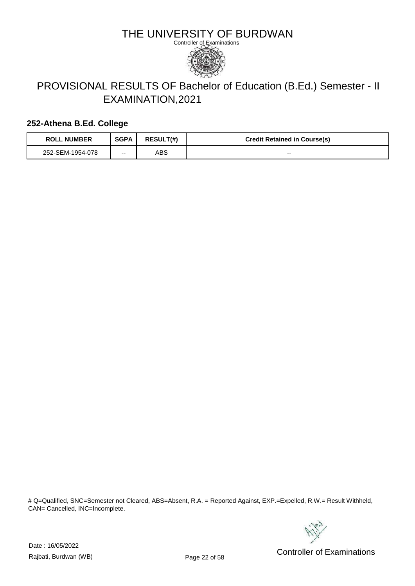

# PROVISIONAL RESULTS OF Bachelor of Education (B.Ed.) Semester - II EXAMINATION,2021

#### **252-Athena B.Ed. College**

| <b>ROLL NUMBER</b> | <b>SGPA</b> | <b>RESULT(#)</b> | <b>Credit Retained in Course(s)</b> |
|--------------------|-------------|------------------|-------------------------------------|
| 252-SEM-1954-078   | --          | ABS              | $- -$                               |

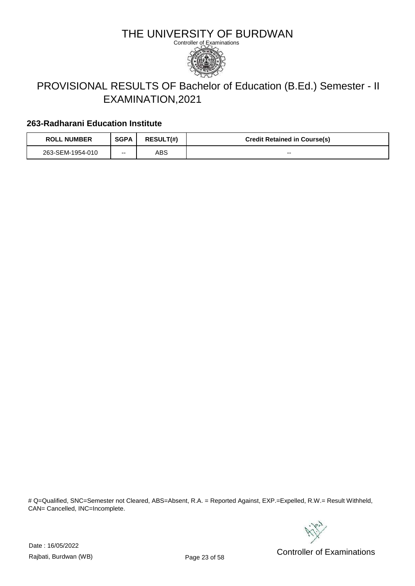

# PROVISIONAL RESULTS OF Bachelor of Education (B.Ed.) Semester - II EXAMINATION,2021

#### **263-Radharani Education Institute**

| <b>ROLL NUMBER</b> | <b>SGPA</b> | <b>RESULT(#)</b> | <b>Credit Retained in Course(s)</b> |
|--------------------|-------------|------------------|-------------------------------------|
| 263-SEM-1954-010   | --          | ABS              | $- -$                               |

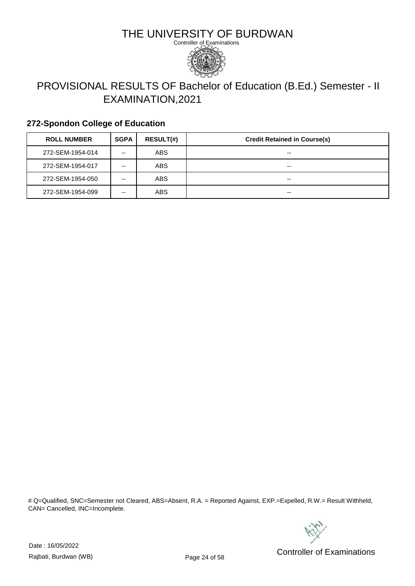

# PROVISIONAL RESULTS OF Bachelor of Education (B.Ed.) Semester - II EXAMINATION,2021

### **272-Spondon College of Education**

| <b>ROLL NUMBER</b> | <b>SGPA</b> | <b>RESULT(#)</b> | <b>Credit Retained in Course(s)</b> |
|--------------------|-------------|------------------|-------------------------------------|
| 272-SEM-1954-014   | --          | ABS              | $- -$                               |
| 272-SEM-1954-017   | --          | ABS              | $- -$                               |
| 272-SEM-1954-050   | --          | ABS              | $- -$                               |
| 272-SEM-1954-099   | --          | ABS              | $- -$                               |

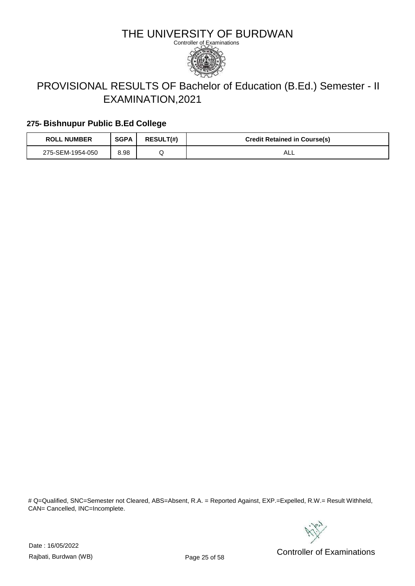

# PROVISIONAL RESULTS OF Bachelor of Education (B.Ed.) Semester - II EXAMINATION,2021

### **275- Bishnupur Public B.Ed College**

| <b>ROLL NUMBER</b> | <b>SGPA</b> | <b>RESULT(#)</b> | <b>Credit Retained in Course(s)</b> |
|--------------------|-------------|------------------|-------------------------------------|
| 275-SEM-1954-050   | 8.98        |                  | ¬∟∟                                 |

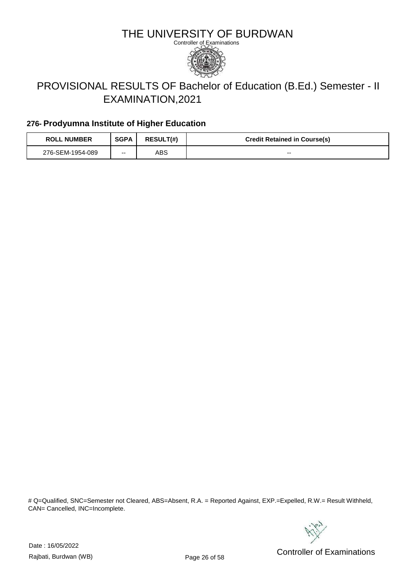

# PROVISIONAL RESULTS OF Bachelor of Education (B.Ed.) Semester - II EXAMINATION,2021

### **276- Prodyumna Institute of Higher Education**

| <b>ROLL NUMBER</b> | <b>SGPA</b> | <b>RESULT(#)</b> | <b>Credit Retained in Course(s)</b> |
|--------------------|-------------|------------------|-------------------------------------|
| 276-SEM-1954-089   | $- -$       | ABS              | $- -$                               |

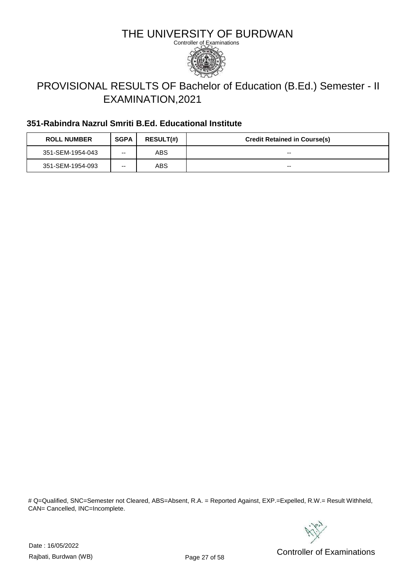

# PROVISIONAL RESULTS OF Bachelor of Education (B.Ed.) Semester - II EXAMINATION,2021

### **351-Rabindra Nazrul Smriti B.Ed. Educational Institute**

| <b>ROLL NUMBER</b> | <b>SGPA</b> | <b>RESULT(#)</b> | <b>Credit Retained in Course(s)</b> |
|--------------------|-------------|------------------|-------------------------------------|
| 351-SEM-1954-043   | --          | ABS              | $- -$                               |
| 351-SEM-1954-093   | --          | ABS              | $- -$                               |

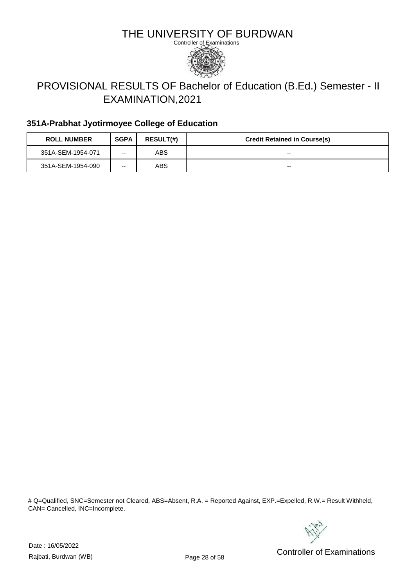

# PROVISIONAL RESULTS OF Bachelor of Education (B.Ed.) Semester - II EXAMINATION,2021

### **351A-Prabhat Jyotirmoyee College of Education**

| <b>ROLL NUMBER</b> | <b>SGPA</b> | <b>RESULT(#)</b> | <b>Credit Retained in Course(s)</b> |
|--------------------|-------------|------------------|-------------------------------------|
| 351A-SEM-1954-071  | --          | ABS              | $- -$                               |
| 351A-SEM-1954-090  | --          | ABS              | $- -$                               |

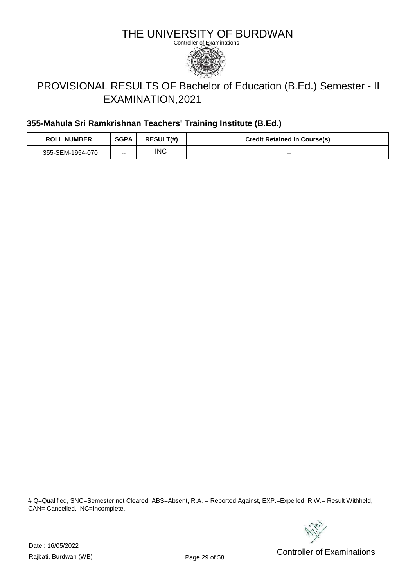

# PROVISIONAL RESULTS OF Bachelor of Education (B.Ed.) Semester - II EXAMINATION,2021

### **355-Mahula Sri Ramkrishnan Teachers' Training Institute (B.Ed.)**

| <b>ROLL NUMBER</b> | <b>SGPA</b> | <b>RESULT(#)</b> | <b>Credit Retained in Course(s)</b> |
|--------------------|-------------|------------------|-------------------------------------|
| 355-SEM-1954-070   | $- -$       | INC              | $- -$                               |

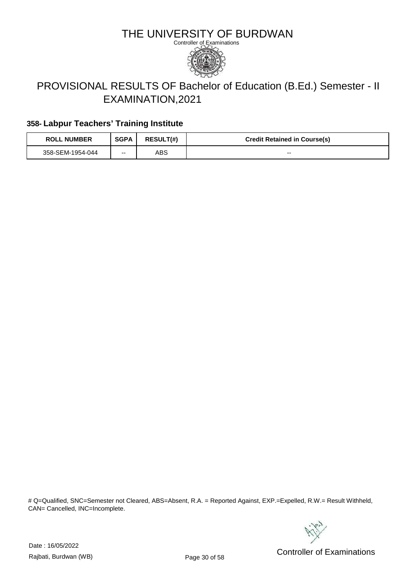

# PROVISIONAL RESULTS OF Bachelor of Education (B.Ed.) Semester - II EXAMINATION,2021

### **358- Labpur Teachers' Training Institute**

| <b>ROLL NUMBER</b> | <b>SGPA</b> | <b>RESULT(#)</b> | <b>Credit Retained in Course(s)</b> |
|--------------------|-------------|------------------|-------------------------------------|
| 358-SEM-1954-044   | --          | ABS              | $- -$                               |

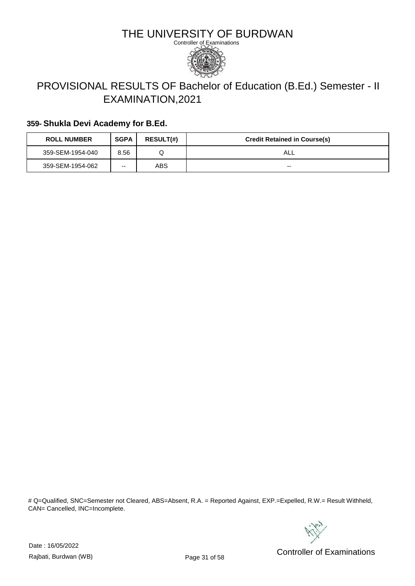

# PROVISIONAL RESULTS OF Bachelor of Education (B.Ed.) Semester - II EXAMINATION,2021

#### **359- Shukla Devi Academy for B.Ed.**

| <b>ROLL NUMBER</b> | <b>SGPA</b> | <b>RESULT(#)</b> | <b>Credit Retained in Course(s)</b> |
|--------------------|-------------|------------------|-------------------------------------|
| 359-SEM-1954-040   | 8.56        |                  | ALL                                 |
| 359-SEM-1954-062   | --          | ABS              | --                                  |

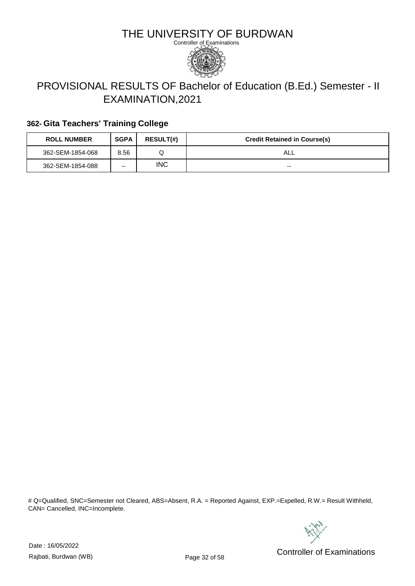

# PROVISIONAL RESULTS OF Bachelor of Education (B.Ed.) Semester - II EXAMINATION,2021

### **362- Gita Teachers' Training College**

| <b>ROLL NUMBER</b> | <b>SGPA</b> | <b>RESULT(#)</b> | <b>Credit Retained in Course(s)</b> |
|--------------------|-------------|------------------|-------------------------------------|
| 362-SEM-1854-068   | 8.56        |                  | AL∟                                 |
| 362-SEM-1854-088   | --          | <b>INC</b>       | $- -$                               |

# Q=Qualified, SNC=Semester not Cleared, ABS=Absent, R.A. = Reported Against, EXP.=Expelled, R.W.= Result Withheld, CAN= Cancelled, INC=Incomplete.



Date : 16/05/2022

Pate: Networking the Controller of Examinations<br>Rajbati, Burdwan (WB) Controller of Examinations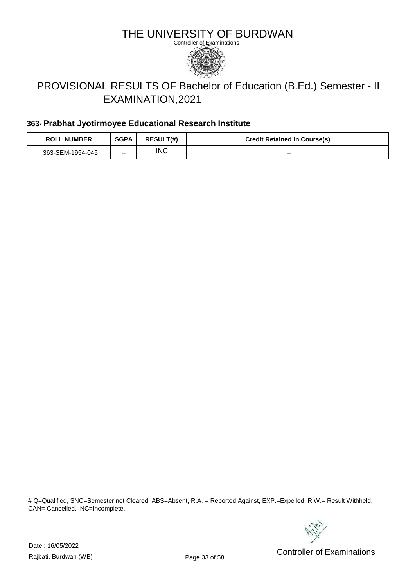

# PROVISIONAL RESULTS OF Bachelor of Education (B.Ed.) Semester - II EXAMINATION,2021

#### **363- Prabhat Jyotirmoyee Educational Research Institute**

| <b>ROLL NUMBER</b> | <b>SGPA</b> | <b>RESULT(#)</b> | <b>Credit Retained in Course(s)</b> |
|--------------------|-------------|------------------|-------------------------------------|
| 363-SEM-1954-045   | $- -$       | INC              | $- -$                               |

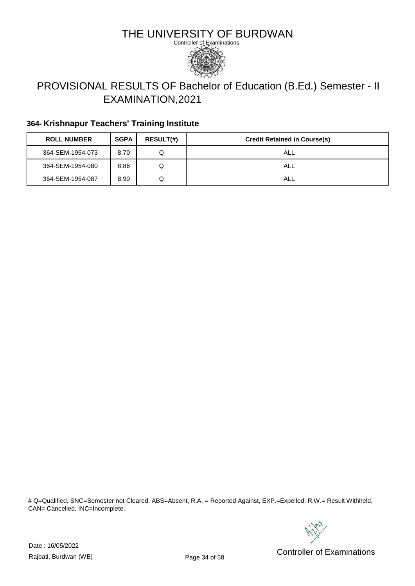

# PROVISIONAL RESULTS OF Bachelor of Education (B.Ed.) Semester - II EXAMINATION,2021

### **364- Krishnapur Teachers' Training Institute**

| <b>ROLL NUMBER</b> | <b>SGPA</b> | <b>RESULT(#)</b> | <b>Credit Retained in Course(s)</b> |
|--------------------|-------------|------------------|-------------------------------------|
| 364-SEM-1954-073   | 8.70        |                  | ALL                                 |
| 364-SEM-1954-080   | 8.86        | Q                | ALL                                 |
| 364-SEM-1954-087   | 8.90        | Q                | ALL                                 |

# Q=Qualified, SNC=Semester not Cleared, ABS=Absent, R.A. = Reported Against, EXP.=Expelled, R.W.= Result Withheld, CAN= Cancelled, INC=Incomplete.



Date : 16/05/2022

Pate: Networking the Controller of Examinations<br>Rajbati, Burdwan (WB) Controller of Examinations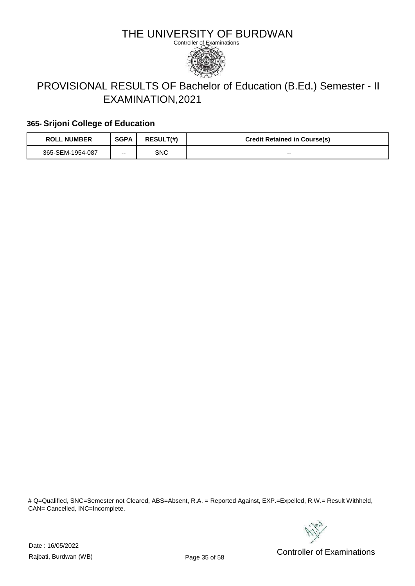

# PROVISIONAL RESULTS OF Bachelor of Education (B.Ed.) Semester - II EXAMINATION,2021

### **365- Srijoni College of Education**

| <b>ROLL NUMBER</b> | <b>SGPA</b> | <b>RESULT(#)</b> | <b>Credit Retained in Course(s)</b> |
|--------------------|-------------|------------------|-------------------------------------|
| 365-SEM-1954-087   | --          | SNC              | $- -$                               |

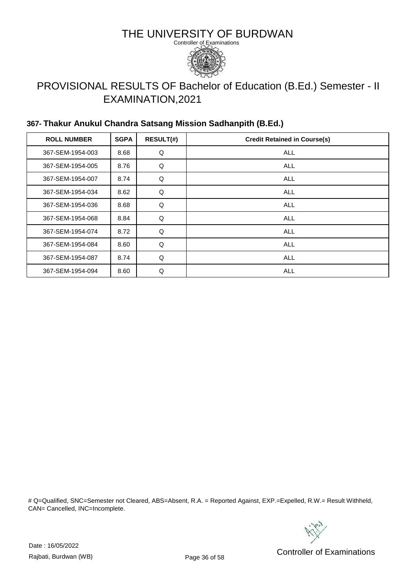

# PROVISIONAL RESULTS OF Bachelor of Education (B.Ed.) Semester - II EXAMINATION,2021

### **367- Thakur Anukul Chandra Satsang Mission Sadhanpith (B.Ed.)**

| <b>ROLL NUMBER</b> | <b>SGPA</b> | <b>RESULT(#)</b> | <b>Credit Retained in Course(s)</b> |
|--------------------|-------------|------------------|-------------------------------------|
| 367-SEM-1954-003   | 8.68        | Q                | <b>ALL</b>                          |
| 367-SEM-1954-005   | 8.76        | Q                | <b>ALL</b>                          |
| 367-SEM-1954-007   | 8.74        | Q                | <b>ALL</b>                          |
| 367-SEM-1954-034   | 8.62        | Q                | <b>ALL</b>                          |
| 367-SEM-1954-036   | 8.68        | Q                | <b>ALL</b>                          |
| 367-SEM-1954-068   | 8.84        | Q                | <b>ALL</b>                          |
| 367-SEM-1954-074   | 8.72        | Q                | <b>ALL</b>                          |
| 367-SEM-1954-084   | 8.60        | Q                | <b>ALL</b>                          |
| 367-SEM-1954-087   | 8.74        | Q                | <b>ALL</b>                          |
| 367-SEM-1954-094   | 8.60        | Q                | <b>ALL</b>                          |

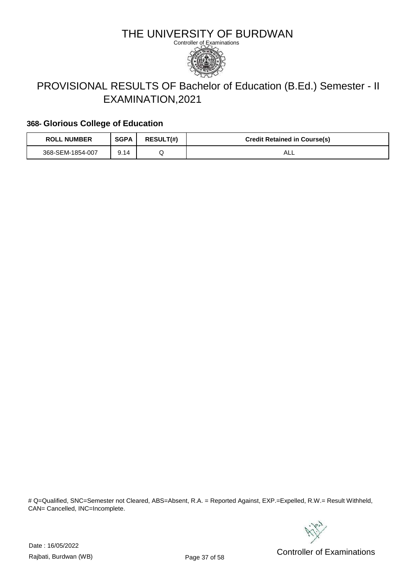

# PROVISIONAL RESULTS OF Bachelor of Education (B.Ed.) Semester - II EXAMINATION,2021

#### **368- Glorious College of Education**

| <b>ROLL NUMBER</b> | <b>SGPA</b> | <b>RESULT(#)</b> | <b>Credit Retained in Course(s)</b> |
|--------------------|-------------|------------------|-------------------------------------|
| 368-SEM-1854-007   | 9.14        |                  | ¬∟∟                                 |

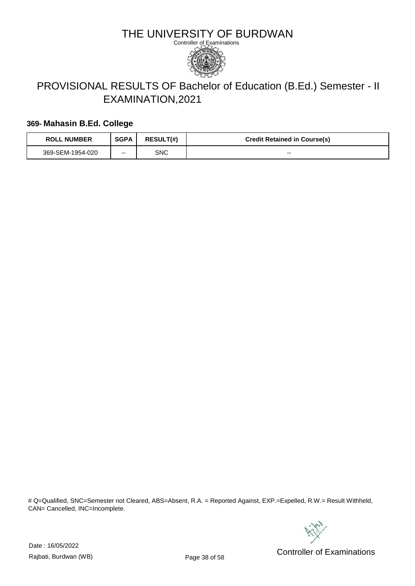

# PROVISIONAL RESULTS OF Bachelor of Education (B.Ed.) Semester - II EXAMINATION,2021

#### **369- Mahasin B.Ed. College**

| <b>ROLL NUMBER</b> | <b>SGPA</b> | <b>RESULT(#)</b> | <b>Credit Retained in Course(s)</b> |
|--------------------|-------------|------------------|-------------------------------------|
| 369-SEM-1954-020   | --          | SNC              | $- -$                               |

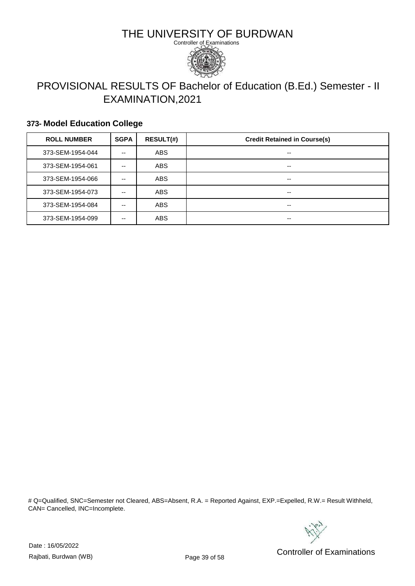

# PROVISIONAL RESULTS OF Bachelor of Education (B.Ed.) Semester - II EXAMINATION,2021

#### **373- Model Education College**

| <b>ROLL NUMBER</b> | <b>SGPA</b> | <b>RESULT(#)</b> | <b>Credit Retained in Course(s)</b> |
|--------------------|-------------|------------------|-------------------------------------|
| 373-SEM-1954-044   | --          | <b>ABS</b>       | --                                  |
| 373-SEM-1954-061   | --          | <b>ABS</b>       | --                                  |
| 373-SEM-1954-066   | --          | <b>ABS</b>       | --                                  |
| 373-SEM-1954-073   | --          | <b>ABS</b>       | --                                  |
| 373-SEM-1954-084   | --          | ABS              | --                                  |
| 373-SEM-1954-099   | --          | <b>ABS</b>       | --                                  |

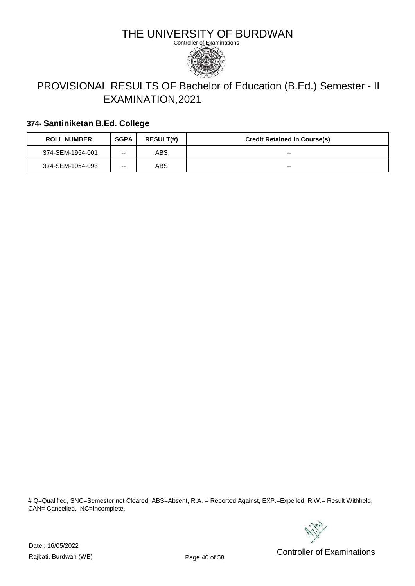

# PROVISIONAL RESULTS OF Bachelor of Education (B.Ed.) Semester - II EXAMINATION,2021

#### **374- Santiniketan B.Ed. College**

| <b>ROLL NUMBER</b> | <b>SGPA</b> | <b>RESULT(#)</b> | <b>Credit Retained in Course(s)</b> |
|--------------------|-------------|------------------|-------------------------------------|
| 374-SEM-1954-001   | --          | ABS              | $- -$                               |
| 374-SEM-1954-093   | --          | <b>ABS</b>       | $- -$                               |

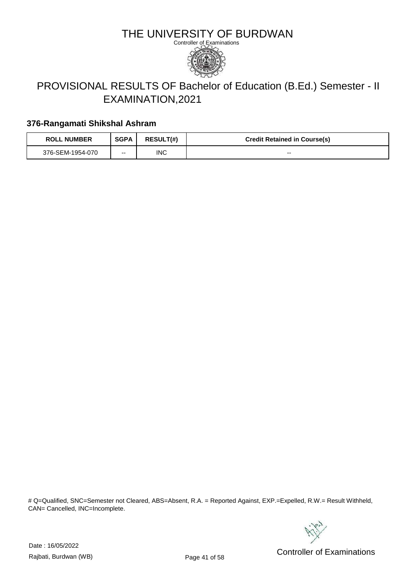

# PROVISIONAL RESULTS OF Bachelor of Education (B.Ed.) Semester - II EXAMINATION,2021

#### **376-Rangamati Shikshal Ashram**

| <b>ROLL NUMBER</b> | <b>SGPA</b> | <b>RESULT(#)</b> | <b>Credit Retained in Course(s)</b> |
|--------------------|-------------|------------------|-------------------------------------|
| 376-SEM-1954-070   | $- -$       | INC              | $- -$                               |

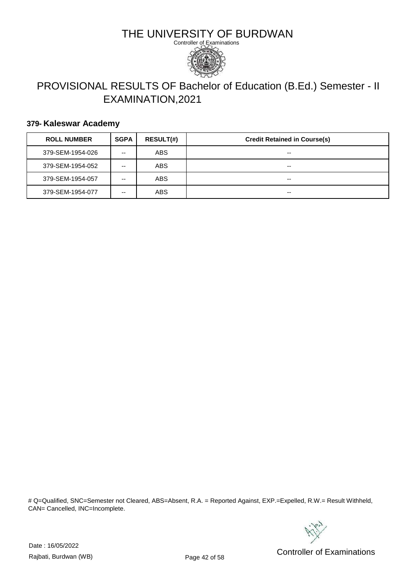

# PROVISIONAL RESULTS OF Bachelor of Education (B.Ed.) Semester - II EXAMINATION,2021

#### **379- Kaleswar Academy**

| <b>ROLL NUMBER</b> | <b>SGPA</b> | <b>RESULT(#)</b> | <b>Credit Retained in Course(s)</b> |
|--------------------|-------------|------------------|-------------------------------------|
| 379-SEM-1954-026   | --          | <b>ABS</b>       | --                                  |
| 379-SEM-1954-052   | --          | ABS              | --                                  |
| 379-SEM-1954-057   | --          | <b>ABS</b>       | $- -$                               |
| 379-SEM-1954-077   | --          | <b>ABS</b>       | --                                  |

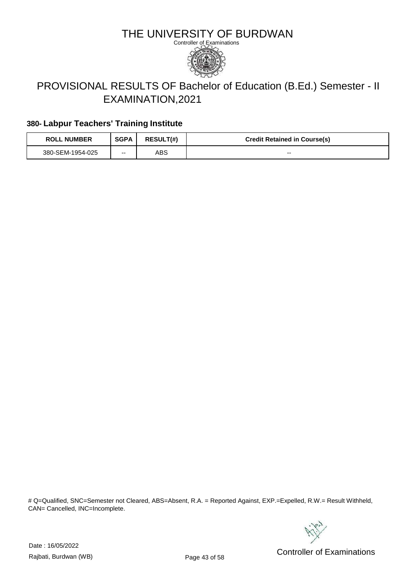

# PROVISIONAL RESULTS OF Bachelor of Education (B.Ed.) Semester - II EXAMINATION,2021

### **380- Labpur Teachers' Training Institute**

| <b>ROLL NUMBER</b> | <b>SGPA</b> | <b>RESULT(#)</b> | <b>Credit Retained in Course(s)</b> |
|--------------------|-------------|------------------|-------------------------------------|
| 380-SEM-1954-025   | --          | ABS              | $- -$                               |

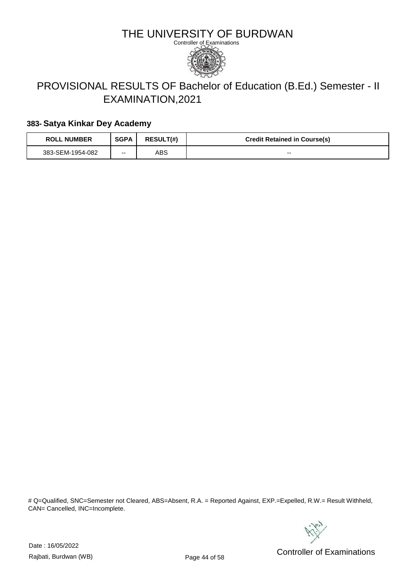

# PROVISIONAL RESULTS OF Bachelor of Education (B.Ed.) Semester - II EXAMINATION,2021

#### **383- Satya Kinkar Dey Academy**

| <b>ROLL NUMBER</b> | <b>SGPA</b> | <b>RESULT(#)</b> | <b>Credit Retained in Course(s)</b> |
|--------------------|-------------|------------------|-------------------------------------|
| 383-SEM-1954-082   | --          | ABS              | $- -$                               |

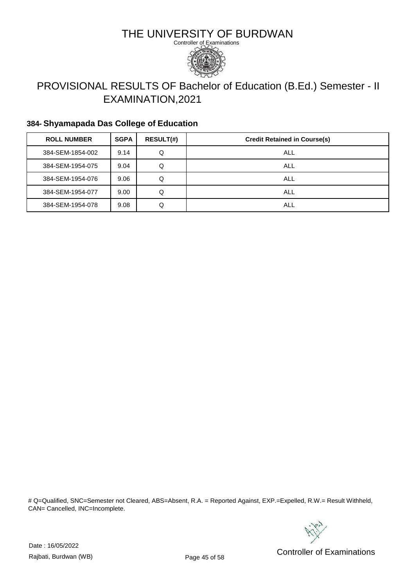

# PROVISIONAL RESULTS OF Bachelor of Education (B.Ed.) Semester - II EXAMINATION,2021

### **384- Shyamapada Das College of Education**

| <b>ROLL NUMBER</b> | <b>SGPA</b> | <b>RESULT(#)</b> | <b>Credit Retained in Course(s)</b> |
|--------------------|-------------|------------------|-------------------------------------|
| 384-SEM-1854-002   | 9.14        | Q                | ALL                                 |
| 384-SEM-1954-075   | 9.04        | Q                | ALL                                 |
| 384-SEM-1954-076   | 9.06        | Q                | ALL                                 |
| 384-SEM-1954-077   | 9.00        | Q                | ALL                                 |
| 384-SEM-1954-078   | 9.08        | Q                | ALL                                 |

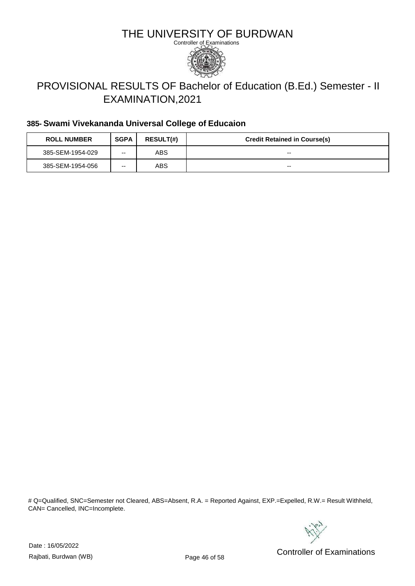

# PROVISIONAL RESULTS OF Bachelor of Education (B.Ed.) Semester - II EXAMINATION,2021

#### **385- Swami Vivekananda Universal College of Educaion**

| <b>ROLL NUMBER</b> | <b>SGPA</b> | <b>RESULT(#)</b> | <b>Credit Retained in Course(s)</b> |
|--------------------|-------------|------------------|-------------------------------------|
| 385-SEM-1954-029   | --          | ABS              | $- -$                               |
| 385-SEM-1954-056   | --          | ABS              | --                                  |

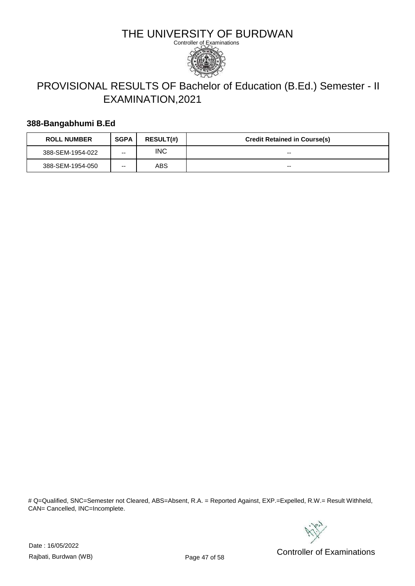

# PROVISIONAL RESULTS OF Bachelor of Education (B.Ed.) Semester - II EXAMINATION,2021

#### **388-Bangabhumi B.Ed**

| <b>ROLL NUMBER</b> | <b>SGPA</b> | <b>RESULT(#)</b> | <b>Credit Retained in Course(s)</b> |
|--------------------|-------------|------------------|-------------------------------------|
| 388-SEM-1954-022   | --          | <b>INC</b>       | --                                  |
| 388-SEM-1954-050   | --          | ABS              | --                                  |

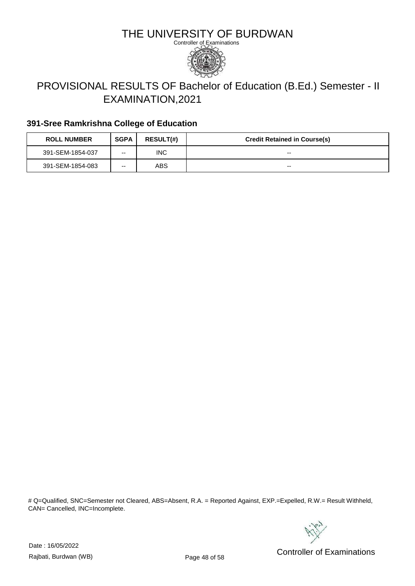

# PROVISIONAL RESULTS OF Bachelor of Education (B.Ed.) Semester - II EXAMINATION,2021

### **391-Sree Ramkrishna College of Education**

| <b>ROLL NUMBER</b> | <b>SGPA</b> | <b>RESULT(#)</b> | <b>Credit Retained in Course(s)</b> |
|--------------------|-------------|------------------|-------------------------------------|
| 391-SEM-1854-037   | --          | <b>INC</b>       | $- -$                               |
| 391-SEM-1854-083   | --          | ABS.             | $- -$                               |

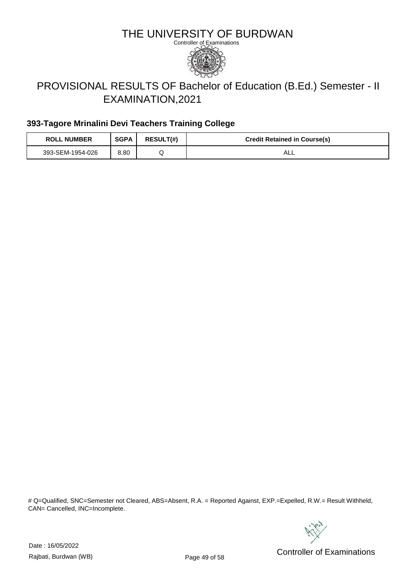

# PROVISIONAL RESULTS OF Bachelor of Education (B.Ed.) Semester - II EXAMINATION,2021

### **393-Tagore Mrinalini Devi Teachers Training College**

| <b>ROLL NUMBER</b> | <b>SGPA</b> | <b>RESULT(#)</b> | <b>Credit Retained in Course(s)</b> |
|--------------------|-------------|------------------|-------------------------------------|
| 393-SEM-1954-026   | 8.80        |                  | ALL                                 |

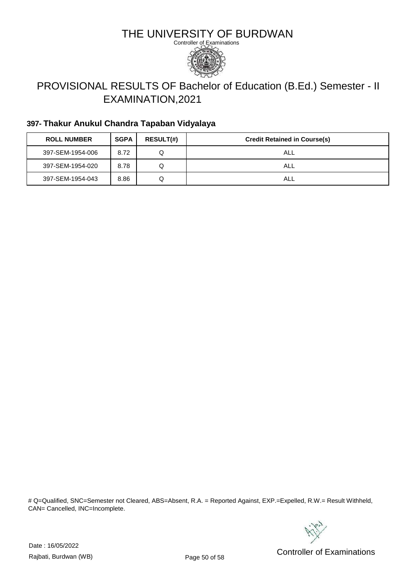

# PROVISIONAL RESULTS OF Bachelor of Education (B.Ed.) Semester - II EXAMINATION,2021

### **397- Thakur Anukul Chandra Tapaban Vidyalaya**

| <b>ROLL NUMBER</b> | <b>SGPA</b> | <b>RESULT(#)</b> | <b>Credit Retained in Course(s)</b> |
|--------------------|-------------|------------------|-------------------------------------|
| 397-SEM-1954-006   | 8.72        |                  | ALL                                 |
| 397-SEM-1954-020   | 8.78        |                  | ALL                                 |
| 397-SEM-1954-043   | 8.86        |                  | ALL                                 |

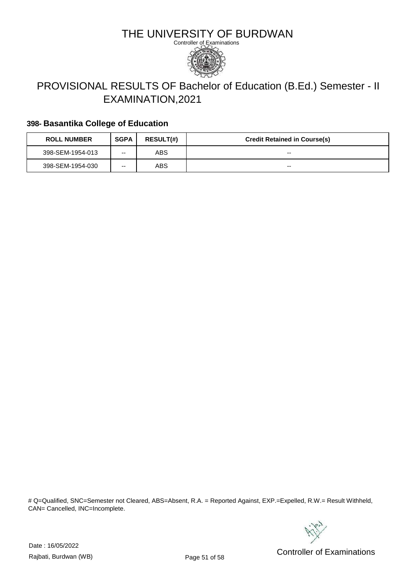

# PROVISIONAL RESULTS OF Bachelor of Education (B.Ed.) Semester - II EXAMINATION,2021

#### **398- Basantika College of Education**

| <b>ROLL NUMBER</b> | <b>SGPA</b> | <b>RESULT(#)</b> | <b>Credit Retained in Course(s)</b> |
|--------------------|-------------|------------------|-------------------------------------|
| 398-SEM-1954-013   | --          | ABS              | --                                  |
| 398-SEM-1954-030   | --          | ABS              | --                                  |

# Q=Qualified, SNC=Semester not Cleared, ABS=Absent, R.A. = Reported Against, EXP.=Expelled, R.W.= Result Withheld, CAN= Cancelled, INC=Incomplete.



Date : 16/05/2022

Pate: Networking the United States of Controller of Examinations<br>Rajbati, Burdwan (WB) Controller of Examinations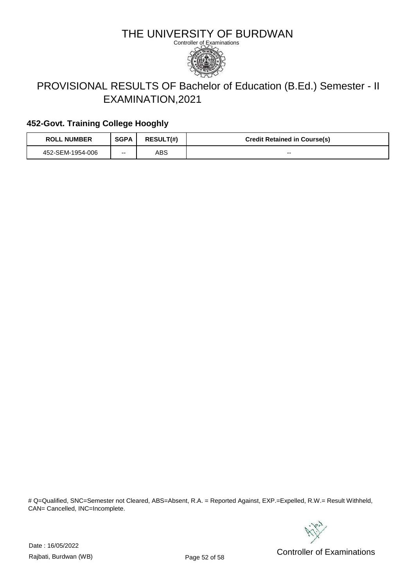

# PROVISIONAL RESULTS OF Bachelor of Education (B.Ed.) Semester - II EXAMINATION,2021

### **452-Govt. Training College Hooghly**

| <b>ROLL NUMBER</b> | <b>SGPA</b> | <b>RESULT(#)</b> | <b>Credit Retained in Course(s)</b> |
|--------------------|-------------|------------------|-------------------------------------|
| 452-SEM-1954-006   | --          | ABS              | $- -$                               |

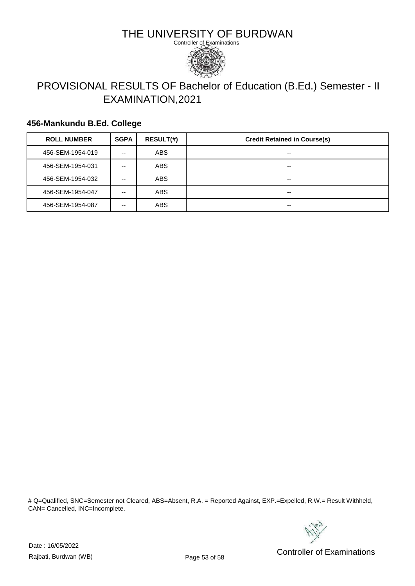

# PROVISIONAL RESULTS OF Bachelor of Education (B.Ed.) Semester - II EXAMINATION,2021

### **456-Mankundu B.Ed. College**

| <b>ROLL NUMBER</b> | <b>SGPA</b> | <b>RESULT(#)</b> | <b>Credit Retained in Course(s)</b> |
|--------------------|-------------|------------------|-------------------------------------|
| 456-SEM-1954-019   | --          | <b>ABS</b>       | $- -$                               |
| 456-SEM-1954-031   | --          | <b>ABS</b>       | $- -$                               |
| 456-SEM-1954-032   | --          | <b>ABS</b>       | $- -$                               |
| 456-SEM-1954-047   | --          | <b>ABS</b>       | $- -$                               |
| 456-SEM-1954-087   | --          | <b>ABS</b>       | $- -$                               |

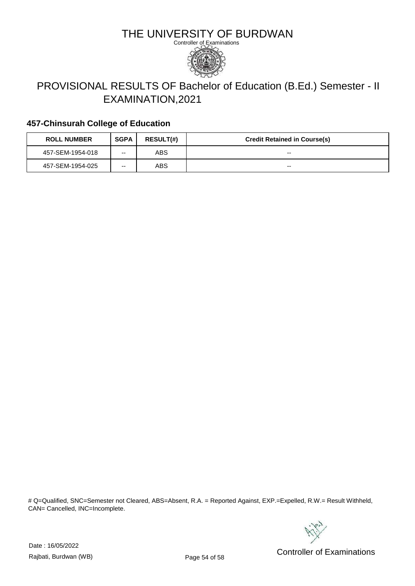

# PROVISIONAL RESULTS OF Bachelor of Education (B.Ed.) Semester - II EXAMINATION,2021

### **457-Chinsurah College of Education**

| <b>ROLL NUMBER</b> | <b>SGPA</b> | <b>RESULT(#)</b> | <b>Credit Retained in Course(s)</b> |
|--------------------|-------------|------------------|-------------------------------------|
| 457-SEM-1954-018   | --          | ABS              | --                                  |
| 457-SEM-1954-025   | --          | ABS              | --                                  |

# Q=Qualified, SNC=Semester not Cleared, ABS=Absent, R.A. = Reported Against, EXP.=Expelled, R.W.= Result Withheld, CAN= Cancelled, INC=Incomplete.



Date : 16/05/2022

Pate: Networking the Controller of Examinations<br>Rajbati, Burdwan (WB) Controller of Examinations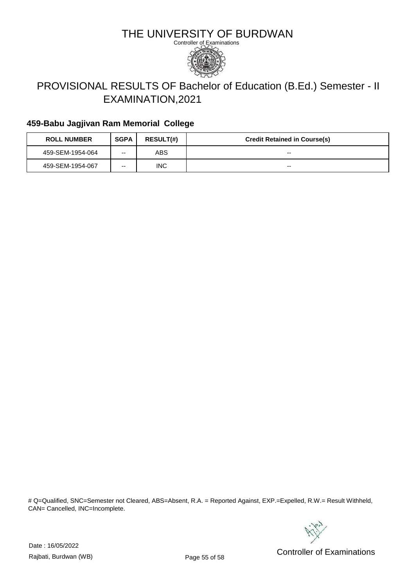

# PROVISIONAL RESULTS OF Bachelor of Education (B.Ed.) Semester - II EXAMINATION,2021

### **459-Babu Jagjivan Ram Memorial College**

| <b>ROLL NUMBER</b> | <b>SGPA</b> | <b>RESULT(#)</b> | <b>Credit Retained in Course(s)</b> |
|--------------------|-------------|------------------|-------------------------------------|
| 459-SEM-1954-064   | --          | ABS              | $- -$                               |
| 459-SEM-1954-067   | --          | <b>INC</b>       | $- -$                               |

# Q=Qualified, SNC=Semester not Cleared, ABS=Absent, R.A. = Reported Against, EXP.=Expelled, R.W.= Result Withheld, CAN= Cancelled, INC=Incomplete.



Date : 16/05/2022

Pate: Networking the United States of Sandwan Controller of Examinations<br>Rajbati, Burdwan (WB) Controller of Examinations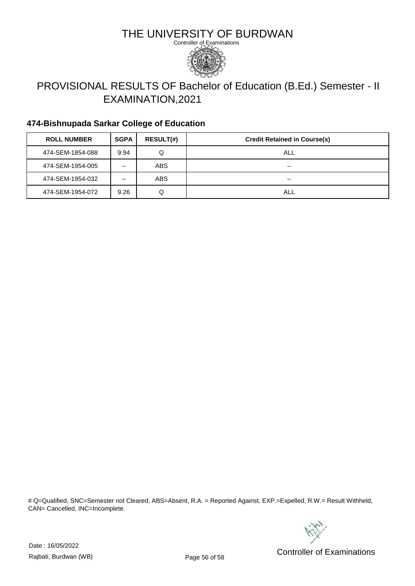

# PROVISIONAL RESULTS OF Bachelor of Education (B.Ed.) Semester - II EXAMINATION,2021

### **474-Bishnupada Sarkar College of Education**

| <b>ROLL NUMBER</b> | <b>SGPA</b> | <b>RESULT(#)</b> | <b>Credit Retained in Course(s)</b> |
|--------------------|-------------|------------------|-------------------------------------|
| 474-SEM-1854-088   | 9.94        | Q                | ALL                                 |
| 474-SEM-1954-005   | --          | <b>ABS</b>       | --                                  |
| 474-SEM-1954-032   | --          | <b>ABS</b>       | --                                  |
| 474-SEM-1954-072   | 9.26        | Q                | ALL                                 |

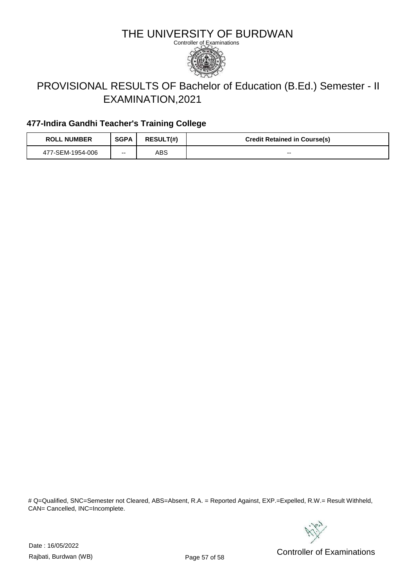

# PROVISIONAL RESULTS OF Bachelor of Education (B.Ed.) Semester - II EXAMINATION,2021

### **477-Indira Gandhi Teacher's Training College**

| <b>ROLL NUMBER</b> | <b>SGPA</b> | <b>RESULT(#)</b> | <b>Credit Retained in Course(s)</b> |
|--------------------|-------------|------------------|-------------------------------------|
| 477-SEM-1954-006   | $- -$       | ABS              | $- -$                               |